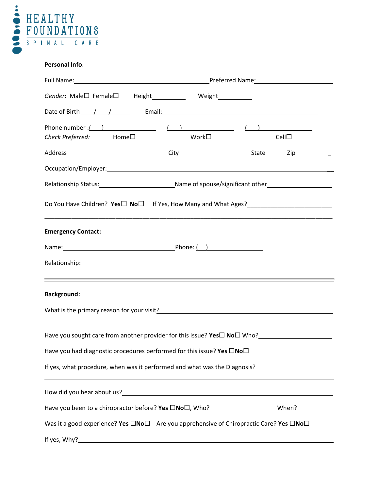

### **Personal Info**:

|                                                                                                                                                                                                                                                        | Full Name: <u>New York: Name:</u> Preferred Name: Name: Name: Name: Name: Name: Name: Name: Name: Name: Name: Name: Name: Name: Name: Name: Name: Name: Name: Name: Name: Name: Name: Name: Name: Name: Name: Name: Name: Name: Nam |      |  |  |
|--------------------------------------------------------------------------------------------------------------------------------------------------------------------------------------------------------------------------------------------------------|-------------------------------------------------------------------------------------------------------------------------------------------------------------------------------------------------------------------------------------|------|--|--|
| Gender: Male□ Female□ Height____________ Weight___________                                                                                                                                                                                             |                                                                                                                                                                                                                                     |      |  |  |
| Date of Birth <i>1 1 1</i> Fmail: Email: Email: Email: Email: Email: Email: Email: Email: Email: Email: Email: Email: Email: Email: Email: Email: Email: Email: Email: Email: Email: Email: Email: Email: Email: Email: Email: Emai                    |                                                                                                                                                                                                                                     |      |  |  |
| Phone number : $($ ) $($ ) $)$ $($ ) $)$ $($ $)$ $($ $)$ $($ $)$ $($ $)$ $($ $)$ $($ $)$ $($ $)$ $($ $)$ $($ $)$ $($ $)$ $($ $)$ $($ $)$ $($ $)$ $($ $)$ $($ $)$ $($ $)$ $($ $)$ $($ $)$ $($ $)$ $($ $)$ $($ $)$ $($ $)$ $($<br>Check Preferred: Home□ | Work□                                                                                                                                                                                                                               | Cell |  |  |
|                                                                                                                                                                                                                                                        |                                                                                                                                                                                                                                     |      |  |  |
| Occupation/Employer: Note that the set of the set of the set of the set of the set of the set of the set of the                                                                                                                                        |                                                                                                                                                                                                                                     |      |  |  |
|                                                                                                                                                                                                                                                        |                                                                                                                                                                                                                                     |      |  |  |
| Do You Have Children? Yes□ No□ If Yes, How Many and What Ages?___________________<br><u> 1989 - Johann Stoff, amerikansk politiker (d. 1989)</u>                                                                                                       |                                                                                                                                                                                                                                     |      |  |  |
| <b>Emergency Contact:</b>                                                                                                                                                                                                                              |                                                                                                                                                                                                                                     |      |  |  |
|                                                                                                                                                                                                                                                        |                                                                                                                                                                                                                                     |      |  |  |
| the contract of the contract of the contract of the contract of the contract of the contract of the contract of                                                                                                                                        |                                                                                                                                                                                                                                     |      |  |  |
| <b>Background:</b>                                                                                                                                                                                                                                     |                                                                                                                                                                                                                                     |      |  |  |
| What is the primary reason for your visit?<br><u> What is the primary reason for your visit?</u>                                                                                                                                                       |                                                                                                                                                                                                                                     |      |  |  |
|                                                                                                                                                                                                                                                        |                                                                                                                                                                                                                                     |      |  |  |
| Have you had diagnostic procedures performed for this issue? Yes □No□                                                                                                                                                                                  |                                                                                                                                                                                                                                     |      |  |  |
| If yes, what procedure, when was it performed and what was the Diagnosis?                                                                                                                                                                              |                                                                                                                                                                                                                                     |      |  |  |
|                                                                                                                                                                                                                                                        |                                                                                                                                                                                                                                     |      |  |  |
|                                                                                                                                                                                                                                                        |                                                                                                                                                                                                                                     |      |  |  |
| Was it a good experience? Yes $\square$ No $\square$ Are you apprehensive of Chiropractic Care? Yes $\square$ No $\square$                                                                                                                             |                                                                                                                                                                                                                                     |      |  |  |
|                                                                                                                                                                                                                                                        |                                                                                                                                                                                                                                     |      |  |  |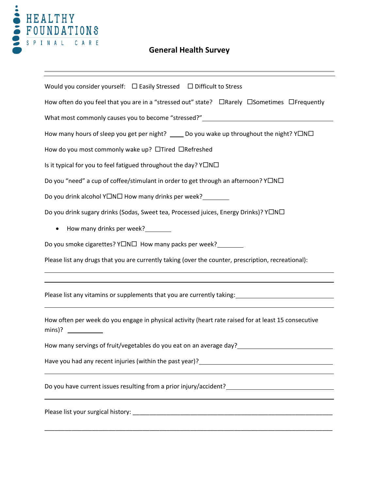

## **General Health Survey**

| Would you consider yourself: □ Easily Stressed □ Difficult to Stress                                 |  |  |  |  |
|------------------------------------------------------------------------------------------------------|--|--|--|--|
| How often do you feel that you are in a "stressed out" state? □Rarely □Sometimes □Frequently         |  |  |  |  |
| What most commonly causes you to become "stressed?" ____________________________                     |  |  |  |  |
| How many hours of sleep you get per night? _____ Do you wake up throughout the night? YONO           |  |  |  |  |
| How do you most commonly wake up? □Tired □Refreshed                                                  |  |  |  |  |
| Is it typical for you to feel fatigued throughout the day? YONO                                      |  |  |  |  |
| Do you "need" a cup of coffee/stimulant in order to get through an afternoon? Y□N□                   |  |  |  |  |
| Do you drink alcohol Y□N□ How many drinks per week?<br><u> </u>                                      |  |  |  |  |
| Do you drink sugary drinks (Sodas, Sweet tea, Processed juices, Energy Drinks)? Y□N□                 |  |  |  |  |
| How many drinks per week?________<br>$\bullet$                                                       |  |  |  |  |
| Do you smoke cigarettes? Y□N□ How many packs per week? _______                                       |  |  |  |  |
| Please list any drugs that you are currently taking (over the counter, prescription, recreational):  |  |  |  |  |
|                                                                                                      |  |  |  |  |
|                                                                                                      |  |  |  |  |
| ,我们也不会有什么。""我们的人,我们也不会有什么?""我们的人,我们也不会有什么?""我们的人,我们也不会有什么?""我们的人,我们也不会有什么?""我们的人                     |  |  |  |  |
| How often per week do you engage in physical activity (heart rate raised for at least 15 consecutive |  |  |  |  |
| How many servings of fruit/vegetables do you eat on an average day?                                  |  |  |  |  |
|                                                                                                      |  |  |  |  |
|                                                                                                      |  |  |  |  |
|                                                                                                      |  |  |  |  |
|                                                                                                      |  |  |  |  |

\_\_\_\_\_\_\_\_\_\_\_\_\_\_\_\_\_\_\_\_\_\_\_\_\_\_\_\_\_\_\_\_\_\_\_\_\_\_\_\_\_\_\_\_\_\_\_\_\_\_\_\_\_\_\_\_\_\_\_\_\_\_\_\_\_\_\_\_\_\_\_\_\_\_\_\_\_\_\_\_\_\_\_\_\_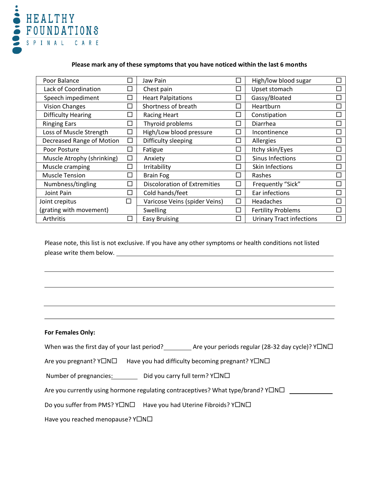

## **Please mark any of these symptoms that you have noticed within the last 6 months**

| Poor Balance               |        | Jaw Pain                            |                             | High/low blood sugar            |  |
|----------------------------|--------|-------------------------------------|-----------------------------|---------------------------------|--|
| Lack of Coordination       |        | Chest pain                          |                             | Upset stomach                   |  |
| Speech impediment          |        | <b>Heart Palpitations</b>           |                             | Gassy/Bloated                   |  |
| <b>Vision Changes</b>      |        | Shortness of breath                 | $\mathcal{L}$               | Heartburn                       |  |
| <b>Difficulty Hearing</b>  |        | <b>Racing Heart</b>                 | $\mathcal{L}_{\mathcal{A}}$ | Constipation                    |  |
| <b>Ringing Ears</b>        |        | Thyroid problems                    |                             | Diarrhea                        |  |
| Loss of Muscle Strength    |        | High/Low blood pressure             |                             | Incontinence                    |  |
| Decreased Range of Motion  | $\Box$ | Difficulty sleeping                 | $\mathcal{L}_{\mathcal{A}}$ | Allergies                       |  |
| Poor Posture               |        | Fatigue                             | $\mathcal{L}_{\mathcal{A}}$ | Itchy skin/Eyes                 |  |
| Muscle Atrophy (shrinking) |        | Anxiety                             | H.                          | Sinus Infections                |  |
| Muscle cramping            |        | Irritability                        | n.                          | Skin Infections                 |  |
| <b>Muscle Tension</b>      |        | <b>Brain Fog</b>                    | $\mathcal{L}$               | Rashes                          |  |
| Numbness/tingling          |        | <b>Discoloration of Extremities</b> | □                           | Frequently "Sick"               |  |
| Joint Pain                 |        | Cold hands/feet                     | $\mathcal{L}_{\mathcal{A}}$ | Ear infections                  |  |
| Joint crepitus             | □      | Varicose Veins (spider Veins)       | П                           | Headaches                       |  |
| (grating with movement)    |        | Swelling                            | П                           | <b>Fertility Problems</b>       |  |
| Arthritis                  |        | <b>Easy Bruising</b>                |                             | <b>Urinary Tract infections</b> |  |

Please note, this list is not exclusive. If you have any other symptoms or health conditions not listed please write them below.

### **For Females Only:**

l

When was the first day of your last period? \_\_\_\_\_\_\_\_\_\_ Are your periods regular (28-32 day cycle)?  $Y\square N\square$ 

Are you pregnant?  $Y\Box N\Box$  Have you had difficulty becoming pregnant?  $Y\Box N\Box$ 

Number of pregnancies:  $\qquad \qquad$  Did you carry full term?  $Y\square N\square$ 

Are you currently using hormone regulating contraceptives? What type/brand? Y $\Box$ N $\Box$ 

Do you suffer from PMS?  $Y\Box N\Box$  Have you had Uterine Fibroids?  $Y\Box N\Box$ 

Have you reached menopause?  $Y\square N\square$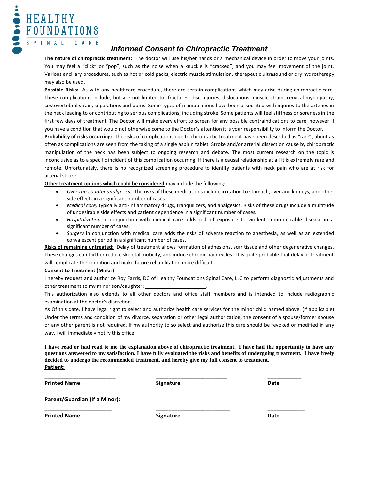

## *Informed Consent to Chiropractic Treatment*

**The nature of chiropractic treatment:** The doctor will use his/her hands or a mechanical device in order to move your joints. You may feel a "click" or "pop", such as the noise when a knuckle is "cracked", and you may feel movement of the joint. Various ancillary procedures, such as hot or cold packs, electric muscle stimulation, therapeutic ultrasound or dry hydrotherapy may also be used.

**Possible Risks:** As with any healthcare procedure, there are certain complications which may arise during chiropractic care. These complications include, but are not limited to: fractures, disc injuries, dislocations, muscle strain, cervical myelopathy, costovertebral strain, separations and burns. Some types of manipulations have been associated with injuries to the arteries in the neck leading to or contributing to serious complications, including stroke. Some patients will feel stiffness or soreness in the first few days of treatment. The Doctor will make every effort to screen for any possible contraindications to care; however if you have a condition that would not otherwise come to the Doctor's attention it is your responsibility to inform the Doctor.

**Probability of risks occurring:** The risks of complications due to chiropractic treatment have been described as "rare", about as often as complications are seen from the taking of a single aspirin tablet. Stroke and/or arterial dissection cause by chiropractic manipulation of the neck has been subject to ongoing research and debate. The most current research on the topic is inconclusive as to a specific incident of this complication occurring. If there is a causal relationship at all it is extremely rare and remote. Unfortunately, there is no recognized screening procedure to identify patients with neck pain who are at risk for arterial stroke.

#### **Other treatment options which could be considered** may include the following:

- *Over-the-counter analgesics.* The risks of these medications include irritation to stomach, liver and kidneys, and other side effects in a significant number of cases.
- *Medical care,* typically anti-inflammatory drugs, tranquilizers, and analgesics. Risks of these drugs include a multitude of undesirable side effects and patient dependence in a significant number of cases.
- *Hospitalization* in conjunction with medical care adds risk of exposure to virulent communicable disease in a significant number of cases.
- *Surgery* in conjunction with medical care adds the risks of adverse reaction to anesthesia, as well as an extended convalescent period in a significant number of cases.

**Risks of remaining untreated:** Delay of treatment allows formation of adhesions, scar tissue and other degenerative changes. These changes can further reduce skeletal mobility, and induce chronic pain cycles. It is quite probable that delay of treatment will complicate the condition and make future rehabilitation more difficult.

#### **Consent to Treatment (Minor)**

I hereby request and authorize Roy Farris, DC of Healthy Foundations Spinal Care, LLC to perform diagnostic adjustments and other treatment to my minor son/daughter:

This authorization also extends to all other doctors and office staff members and is intended to include radiographic examination at the doctor's discretion.

As Of this date, I have legal right to select and authorize health care services for the minor child named above. (If applicable) Under the terms and condition of my divorce, separation or other legal authorization, the consent of a spouse/former spouse or any other parent is not required. If my authority to so select and authorize this care should be revoked or modified in any way, I will immediately notify this office.

**I have read or had read to me the explanation above of chiropractic treatment. I have had the opportunity to have any questions answered to my satisfaction. I have fully evaluated the risks and benefits of undergoing treatment. I have freely decided to undergo the recommended treatment, and hereby give my full consent to treatment. Patient:**

**Printed Name Date Constanting Signature Constanting Signature Date Date** 

**\_\_\_\_\_\_\_\_\_\_\_\_\_\_\_\_\_\_\_\_\_\_\_ \_\_\_\_\_\_\_\_\_\_\_\_\_\_\_\_\_\_\_\_\_\_\_ \_\_\_\_\_\_\_\_\_\_\_**

**Parent/Guardian (If a Minor):**

**Printed Name Date Constanting Signature Constanting Signature Date Date** 

**\_\_\_\_\_\_\_\_\_\_\_\_\_\_\_\_\_\_\_\_\_\_ \_\_\_\_\_\_\_\_\_\_\_\_\_\_\_\_\_\_\_\_\_\_\_\_ \_\_\_\_\_\_\_\_\_\_\_\_**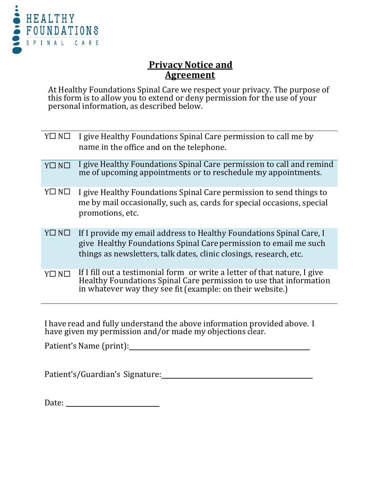

## **Privacy Notice and Agreement**

At Healthy Foundations Spinal Care we respect your privacy. The purpose of this form is to allow you to extend or deny permission for the use of your personal information, as described below.

| $Y \square N \square$ | I give Healthy Foundations Spinal Care permission to call me by<br>name in the office and on the telephone.                                                                                                   |
|-----------------------|---------------------------------------------------------------------------------------------------------------------------------------------------------------------------------------------------------------|
| $Y\square N\square$   | I give Healthy Foundations Spinal Care permission to call and remind<br>me of upcoming appointments or to reschedule my appointments.                                                                         |
| $Y \square N \square$ | I give Healthy Foundations Spinal Care permission to send things to<br>me by mail occasionally, such as, cards for special occasions, special<br>promotions, etc.                                             |
| Y□ N□                 | If I provide my email address to Healthy Foundations Spinal Care, I<br>give Healthy Foundations Spinal Care permission to email me such<br>things as newsletters, talk dates, clinic closings, research, etc. |
| Y□ N□                 | If I fill out a testimonial form or write a letter of that nature, I give<br>Healthy Foundations Spinal Care permission to use that information<br>in whatever way they see fit (example: on their website.)  |
|                       |                                                                                                                                                                                                               |

<sup>I</sup> have read and fully understand the above information provided above. I have given my permission and/or made my objections clear.

Patient's Name (print):

Patient's/Guardian's Signature:

Date: the contract of the contract of the contract of the contract of the contract of the contract of the contract of the contract of the contract of the contract of the contract of the contract of the contract of the cont